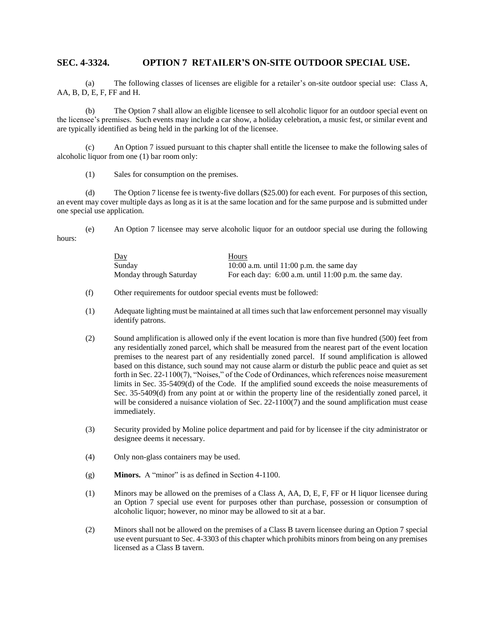## **SEC. 4-3324. OPTION 7 RETAILER'S ON-SITE OUTDOOR SPECIAL USE.**

(a) The following classes of licenses are eligible for a retailer's on-site outdoor special use: Class A, AA, B, D, E, F, FF and H.

(b) The Option 7 shall allow an eligible licensee to sell alcoholic liquor for an outdoor special event on the licensee's premises. Such events may include a car show, a holiday celebration, a music fest, or similar event and are typically identified as being held in the parking lot of the licensee.

(c) An Option 7 issued pursuant to this chapter shall entitle the licensee to make the following sales of alcoholic liquor from one (1) bar room only:

(1) Sales for consumption on the premises.

(d) The Option 7 license fee is twenty-five dollars (\$25.00) for each event. For purposes of this section, an event may cover multiple days as long as it is at the same location and for the same purpose and is submitted under one special use application.

hours:

| <u>Day</u>              | Hours                                                    |
|-------------------------|----------------------------------------------------------|
| Sunday                  | 10:00 a.m. until 11:00 p.m. the same day                 |
| Monday through Saturday | For each day: $6:00$ a.m. until 11:00 p.m. the same day. |

(e) An Option 7 licensee may serve alcoholic liquor for an outdoor special use during the following

- (f) Other requirements for outdoor special events must be followed:
- (1) Adequate lighting must be maintained at all times such that law enforcement personnel may visually identify patrons.
- (2) Sound amplification is allowed only if the event location is more than five hundred (500) feet from any residentially zoned parcel, which shall be measured from the nearest part of the event location premises to the nearest part of any residentially zoned parcel. If sound amplification is allowed based on this distance, such sound may not cause alarm or disturb the public peace and quiet as set forth in Sec. 22-1100(7), "Noises," of the Code of Ordinances, which references noise measurement limits in Sec. 35-5409(d) of the Code. If the amplified sound exceeds the noise measurements of Sec. 35-5409(d) from any point at or within the property line of the residentially zoned parcel, it will be considered a nuisance violation of Sec. 22-1100(7) and the sound amplification must cease immediately.
- (3) Security provided by Moline police department and paid for by licensee if the city administrator or designee deems it necessary.
- (4) Only non-glass containers may be used.
- (g) **Minors.** A "minor" is as defined in Section 4-1100.
- (1) Minors may be allowed on the premises of a Class A, AA, D, E, F, FF or H liquor licensee during an Option 7 special use event for purposes other than purchase, possession or consumption of alcoholic liquor; however, no minor may be allowed to sit at a bar.
- (2) Minors shall not be allowed on the premises of a Class B tavern licensee during an Option 7 special use event pursuant to Sec. 4-3303 of this chapter which prohibits minors from being on any premises licensed as a Class B tavern.